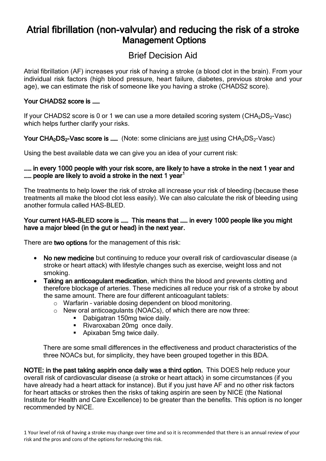# Atrial fibrillation (non-valvular) and reducing the risk of a stroke Management Options

# Brief Decision Aid

Atrial fibrillation (AF) increases your risk of having a stroke (a blood clot in the brain). From your individual risk factors (high blood pressure, heart failure, diabetes, previous stroke and your age), we can estimate the risk of someone like you having a stroke (CHADS2 score).

### Your CHADS2 score is ……

If your CHADS2 score is 0 or 1 we can use a more detailed scoring system ( $CHA<sub>2</sub>DS<sub>2</sub>$ -Vasc) which helps further clarify your risks.

### Your  $CHA<sub>2</sub>DS<sub>2</sub>$ -Vasc score is ...... (Note: some clinicians are just using  $CHA<sub>2</sub>DS<sub>2</sub>$ -Vasc)

Using the best available data we can give you an idea of your current risk:

#### ...... in every 1000 people with your risk score, are likely to have a stroke in the next 1 year and ...... people are likely to avoid a stroke in the next 1 year<sup>1</sup>

The treatments to help lower the risk of stroke all increase your risk of bleeding (because these treatments all make the blood clot less easily). We can also calculate the risk of bleeding using another formula called HAS-BLED.

#### Your current HAS-BLED score is …… This means that …… in every 1000 people like you might have a major bleed (in the gut or head) in the next year.

There are two options for the management of this risk:

- No new medicine but continuing to reduce your overall risk of cardiovascular disease (a stroke or heart attack) with lifestyle changes such as exercise, weight loss and not smoking.
- Taking an anticoagulant medication, which thins the blood and prevents clotting and therefore blockage of arteries. These medicines all reduce your risk of a stroke by about the same amount. There are four different anticoagulant tablets:
	- o Warfarin variable dosing dependent on blood monitoring.
	- o New oral anticoagulants (NOACs), of which there are now three:
		- Dabigatran 150mg twice daily.
		- Rivaroxaban 20mg once daily.
		- Apixaban 5mg twice daily.

There are some small differences in the effectiveness and product characteristics of the three NOACs but, for simplicity, they have been grouped together in this BDA.

NOTE: in the past taking aspirin once daily was a third option. This DOES help reduce your overall risk of cardiovascular disease (a stroke or heart attack) in some circumstances (if you have already had a heart attack for instance). But if you just have AF and no other risk factors for heart attacks or strokes then the risks of taking aspirin are seen by NICE (the National Institute for Health and Care Excellence) to be greater than the benefits. This option is no longer recommended by NICE.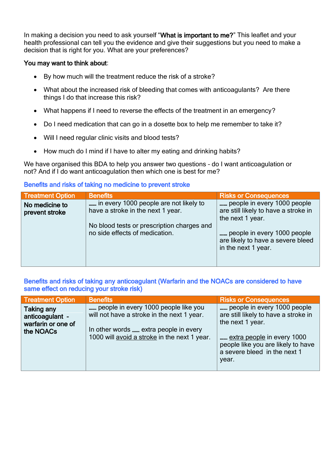In making a decision you need to ask yourself "What is important to me?" This leaflet and your health professional can tell you the evidence and give their suggestions but you need to make a decision that is right for you. What are your preferences?

#### You may want to think about:

- By how much will the treatment reduce the risk of a stroke?
- What about the increased risk of bleeding that comes with anticoagulants? Are there things I do that increase this risk?
- What happens if I need to reverse the effects of the treatment in an emergency?
- Do I need medication that can go in a dosette box to help me remember to take it?
- Will I need regular clinic visits and blood tests?
- How much do I mind if I have to alter my eating and drinking habits?

We have organised this BDA to help you answer two questions - do I want anticoagulation or not? And if I do want anticoagulation then which one is best for me?

#### Benefits and risks of taking no medicine to prevent stroke

| <b>Treatment Option</b>          | <b>Benefits</b>                                                              | <b>Risks or Consequences</b>                                                            |
|----------------------------------|------------------------------------------------------------------------------|-----------------------------------------------------------------------------------------|
| No medicine to<br>prevent stroke | in every 1000 people are not likely to<br>have a stroke in the next 1 year.  | people in every 1000 people<br>are still likely to have a stroke in<br>the next 1 year. |
|                                  | No blood tests or prescription charges and<br>no side effects of medication. | people in every 1000 people<br>are likely to have a severe bleed<br>in the next 1 year. |

Benefits and risks of taking any anticoagulant (Warfarin and the NOACs are considered to have same effect on reducing your stroke risk)

| <b>Treatment Option</b>                                          | <b>Benefits</b>                                                                                                                                                             | <b>Risks or Consequences</b>                                                                                                                                                                         |
|------------------------------------------------------------------|-----------------------------------------------------------------------------------------------------------------------------------------------------------------------------|------------------------------------------------------------------------------------------------------------------------------------------------------------------------------------------------------|
| Taking any<br>anticoagulant -<br>warfarin or one of<br>the NOACs | people in every 1000 people like you<br>will not have a stroke in the next 1 year.<br>In other words  extra people in every<br>1000 will avoid a stroke in the next 1 year. | people in every 1000 people<br>are still likely to have a stroke in<br>the next 1 year.<br>extra people in every 1000<br>people like you are likely to have<br>a severe bleed in the next 1<br>year. |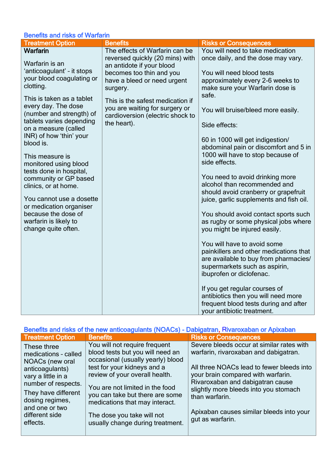## Benefits and risks of Warfarin

| <b>Treatment Option</b>                                                                                                                                                                                                                                                                                                                                                                                                        | <b>Benefits</b>                                                                                                                                           | <b>Risks or Consequences</b>                                                                                                                                                                                                                                                                                                                                                                                                                                                                                                                                                                                                                                                                                                                                                                                                           |
|--------------------------------------------------------------------------------------------------------------------------------------------------------------------------------------------------------------------------------------------------------------------------------------------------------------------------------------------------------------------------------------------------------------------------------|-----------------------------------------------------------------------------------------------------------------------------------------------------------|----------------------------------------------------------------------------------------------------------------------------------------------------------------------------------------------------------------------------------------------------------------------------------------------------------------------------------------------------------------------------------------------------------------------------------------------------------------------------------------------------------------------------------------------------------------------------------------------------------------------------------------------------------------------------------------------------------------------------------------------------------------------------------------------------------------------------------------|
| Warfarin<br>Warfarin is an<br>'anticoagulant' - it stops<br>your blood coagulating or<br>clotting.                                                                                                                                                                                                                                                                                                                             | The effects of Warfarin can be<br>reversed quickly (20 mins) with<br>an antidote if your blood<br>becomes too thin and you<br>have a bleed or need urgent | You will need to take medication<br>once daily, and the dose may vary.<br>You will need blood tests<br>approximately every 2-6 weeks to                                                                                                                                                                                                                                                                                                                                                                                                                                                                                                                                                                                                                                                                                                |
| This is taken as a tablet<br>every day. The dose<br>(number and strength) of<br>tablets varies depending<br>on a measure (called<br>INR) of how 'thin' your<br>blood is.<br>This measure is<br>monitored using blood<br>tests done in hospital,<br>community or GP based<br>clinics, or at home.<br>You cannot use a dosette<br>or medication organiser<br>because the dose of<br>warfarin is likely to<br>change quite often. | surgery.<br>This is the safest medication if<br>you are waiting for surgery or<br>cardioversion (electric shock to<br>the heart).                         | make sure your Warfarin dose is<br>safe.<br>You will bruise/bleed more easily.<br>Side effects:<br>60 in 1000 will get indigestion/<br>abdominal pain or discomfort and 5 in<br>1000 will have to stop because of<br>side effects.<br>You need to avoid drinking more<br>alcohol than recommended and<br>should avoid cranberry or grapefruit<br>juice, garlic supplements and fish oil.<br>You should avoid contact sports such<br>as rugby or some physical jobs where<br>you might be injured easily.<br>You will have to avoid some<br>painkillers and other medications that<br>are available to buy from pharmacies/<br>supermarkets such as aspirin,<br>ibuprofen or diclofenac.<br>If you get regular courses of<br>antibiotics then you will need more<br>frequent blood tests during and after<br>your antibiotic treatment. |

| Benefits and risks of the new anticoagulants (NOACs) - Dabigatran, Rivaroxaban or Apixaban |                                                                                                        |                                                                                                                     |  |  |
|--------------------------------------------------------------------------------------------|--------------------------------------------------------------------------------------------------------|---------------------------------------------------------------------------------------------------------------------|--|--|
| <b>Treatment Option</b>                                                                    | <b>Benefits</b>                                                                                        | <b>Risks or Consequences</b>                                                                                        |  |  |
| These three<br>medications - called<br>NOACs (new oral                                     | You will not require frequent<br>blood tests but you will need an<br>occasional (usually yearly) blood | Severe bleeds occur at similar rates with<br>warfarin, rivaroxaban and dabigatran.                                  |  |  |
| anticoagulants)<br>vary a little in a<br>number of respects.                               | test for your kidneys and a<br>review of your overall health.<br>You are not limited in the food       | All three NOACs lead to fewer bleeds into<br>your brain compared with warfarin.<br>Rivaroxaban and dabigatran cause |  |  |
| They have different<br>dosing regimes,<br>and one or two                                   | you can take but there are some<br>medications that may interact.                                      | slightly more bleeds into you stomach<br>than warfarin.                                                             |  |  |
| different side<br>effects.                                                                 | The dose you take will not<br>usually change during treatment.                                         | Apixaban causes similar bleeds into your<br>gut as warfarin.                                                        |  |  |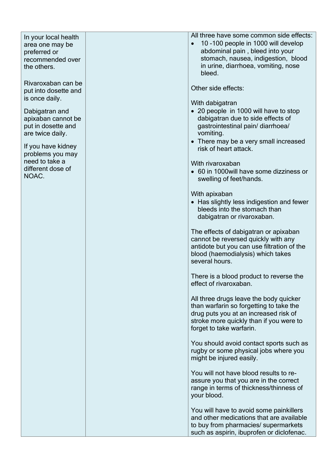In your local health area one may be preferred or recommended over the others.

Rivaroxaban can be put into dosette and is once daily.

Dabigatran and apixaban cannot be put in dosette and are twice daily.

If you have kidney problems you may need to take a different dose of NOAC.

All three have some common side effects :

• 10 -100 people in 1000 will develop abdominal pain , bleed into your stomach, nausea, indigestion, blood in urine, diarrhoea, vomiting, nose bleed .

Other side effects:

With dabigatran

- 20 people in 100 0 will have to stop dabigatran due to side effects of gastrointestinal pain/ diarrhoea/ vomiting .
- There may be a very small increased risk of heart attack .

With rivaroxaban

 60 in 1000will have some dizziness or swelling of feet/hands .

With apixaban

• Has slightly less indigestion and fewer bleeds into the stomach than dabigatran or rivaroxaban .

The effects of dabigatran or apixaban cannot be reversed quickly with any antidote but you can use filtration of the blood (haemodialysis ) which takes several hours .

There is a blood product t o reverse the effect of rivaroxaban.

All three drugs leave the body quicker than warfarin so forgetting to take the drug puts you at an increased risk of stroke more quickly than if you were to forget to take warfarin .

You should avoid contact sports such as rugby or some physical jobs where you might be injured easily.

You will not have blood results to reassure you that you are in the correct range in terms of thickness/thinness of your blood .

You will have to avoid some painkillers and other medications that are available to buy from pharmacies/ supermarkets such as aspirin, ibuprofen or diclofenac .